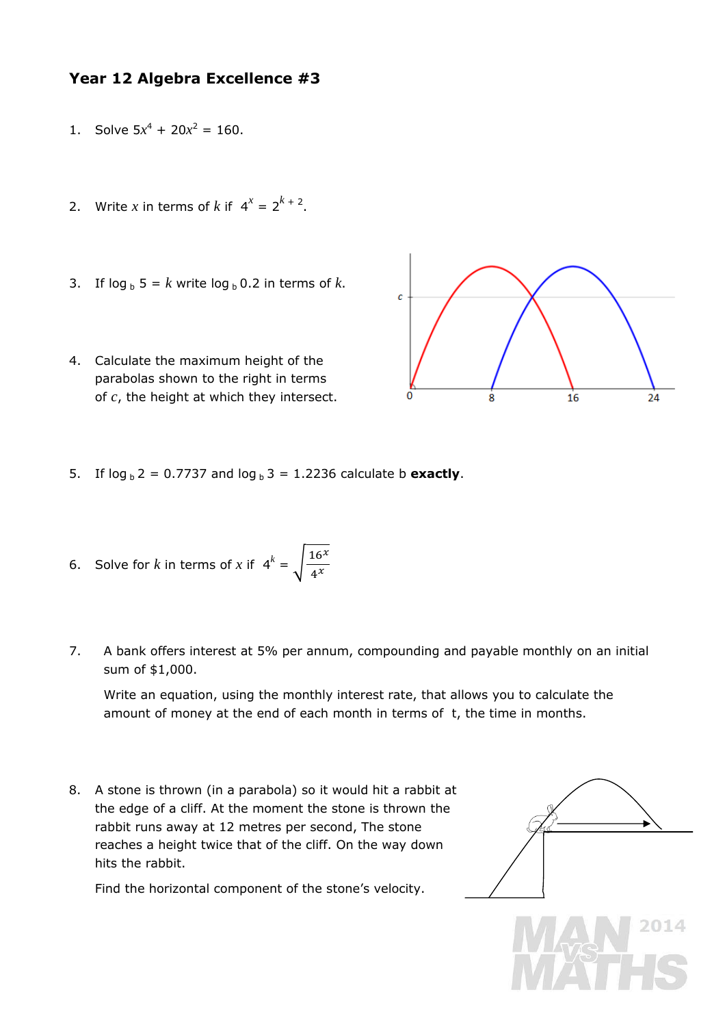## **Year 12 Algebra Excellence #3**

- 1. Solve  $5x^4 + 20x^2 = 160$ .
- 2. Write *x* in terms of *k* if  $4^x = 2^{k+2}$ .
- 3. If  $\log_b 5 = k$  write  $\log_b 0.2$  in terms of *k*.
- 4. Calculate the maximum height of the parabolas shown to the right in terms of *c*, the height at which they intersect.



5. If  $log_b 2 = 0.7737$  and  $log_b 3 = 1.2236$  calculate b **exactly**.

6. Solve for *k* in terms of *x* if 
$$
4^k = \sqrt{\frac{16^x}{4^x}}
$$

7. A bank offers interest at 5% per annum, compounding and payable monthly on an initial sum of \$1,000.

Write an equation, using the monthly interest rate, that allows you to calculate the amount of money at the end of each month in terms of *t*, the time in months.

8. A stone is thrown (in a parabola) so it would hit a rabbit at the edge of a cliff. At the moment the stone is thrown the rabbit runs away at 12 metres per second, The stone reaches a height twice that of the cliff. On the way down hits the rabbit.

Find the horizontal component of the stone's velocity.

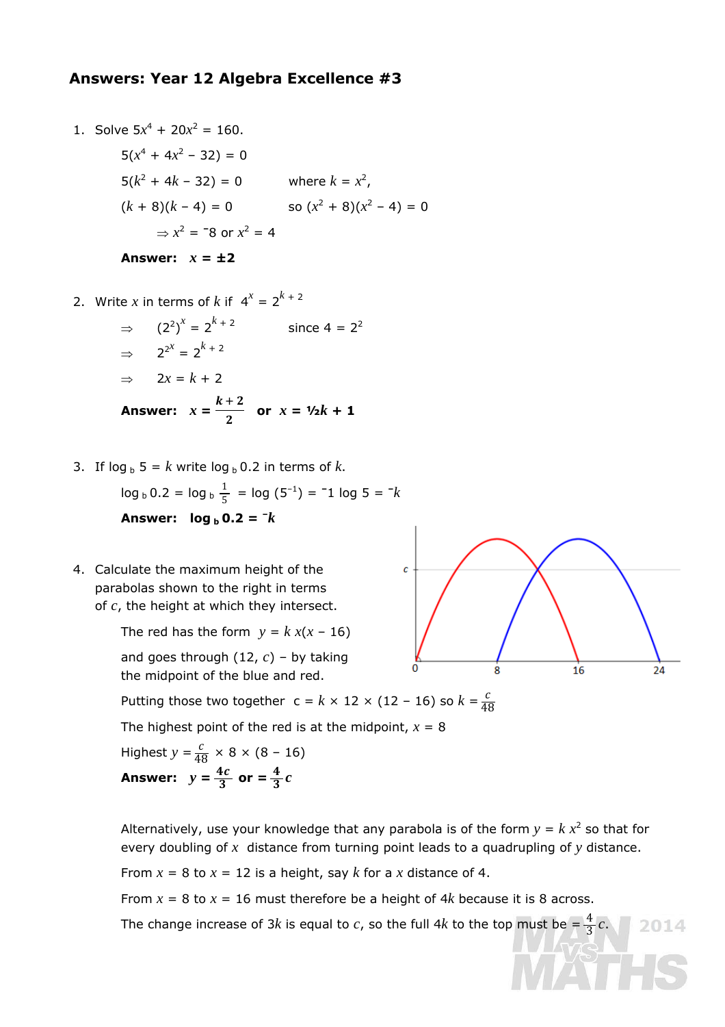## **Answers: Year 12 Algebra Excellence #3**

Solve 
$$
5x^4 + 20x^2 = 160
$$
.  
\n $5(x^4 + 4x^2 - 32) = 0$   
\n $5(k^2 + 4k - 32) = 0$  where  $k = x^2$ ,  
\n $(k + 8)(k - 4) = 0$  so  $(x^2 + 8)(x^2 - 4) = 0$   
\n $\Rightarrow x^2 = -8$  or  $x^2 = 4$   
\nAnswer:  $x = \pm 2$ 

2. Write *x* in terms of *k* if  $4^x = 2^{k+2}$ 

1. Solve 5*x*<sup>4</sup>

$$
\Rightarrow (2^2)^x = 2^{k+2} \qquad \text{since } 4 = 2^2
$$
  

$$
\Rightarrow 2^{2^x} = 2^{k+2}
$$
  

$$
\Rightarrow 2x = k+2
$$
  
**Answer:**  $x = \frac{k+2}{2}$  or  $x = \frac{1}{2}k + 1$ 

3. If  $\log_b 5 = k$  write  $\log_b 0.2$  in terms of *k*.

$$
\log_b 0.2 = \log_b \frac{1}{5} = \log (5^{-1}) = -1 \log 5 = -k
$$
  
Answer: 
$$
\log_b 0.2 = -k
$$

4. Calculate the maximum height of the parabolas shown to the right in terms of *c*, the height at which they intersect.

> The red has the form  $y = k x(x - 16)$ and goes through (12, *c*) – by taking

the midpoint of the blue and red.

Putting those two together  $c = k \times 12 \times (12 - 16)$  so  $k = \frac{c}{48}$ 48

The highest point of the red is at the midpoint,  $x = 8$ 

Highest  $y = \frac{c}{48} \times 8 \times (8 - 16)$ Answer:  $y = \frac{4c}{3}$  or  $= \frac{4}{3}c$ 



From  $x = 8$  to  $x = 12$  is a height, say  $k$  for a  $x$  distance of 4.

From  $x = 8$  to  $x = 16$  must therefore be a height of 4k because it is 8 across.

The change increase of  $3k$  is equal to  $c$ , so the full  $4k$  to the top must be  $=\frac{4}{3}c$ .



 $2014$